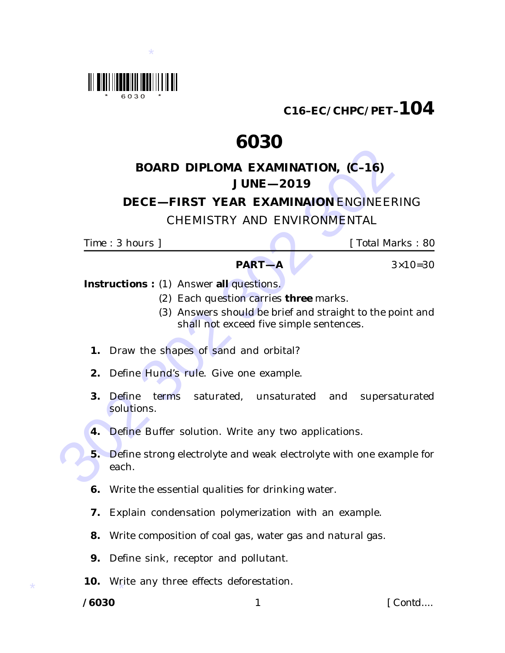

**C16–EC/CHPC/PET–104**

# **6030**

## **BOARD DIPLOMA EXAMINATION, (C–16) JUNE—2019**

### **DECE—FIRST YEAR EXAMINAION** ENGINEERING

## CHEMISTRY AND ENVIRONMENTAL

*Time* : 3 hours ] [ *Total Marks* : 80

#### **PART—A**  $3 \times 10 = 30$

*Instructions* **:** (1) Answer **all** questions.

- (2) Each question carries **three** marks.
- (3) Answers should be brief and straight to the point and shall not exceed *five* simple sentences.
- **1.** Draw the shapes of sand and orbital?
- **2.** Define Hund's rule. Give one example.
- **3.** Define terms saturated, unsaturated and supersaturated solutions.
- **4.** Define Buffer solution. Write any two applications.
- BOARD DIPLOMA EXAMINATION, (C-16)<br>
UUCE --2019<br>
DECE --FIRST YEAR EXAMINATION ENGINEERIN<br>
CHEMISTRY AND ENVIRONMENTAL<br>
Time : 3 hours | [Total Mark<br>
Time : 3 hours | PART--A<br>
IT Total Mark<br>
(2) Each questions carries three **5.** Define strong electrolyte and weak electrolyte with one example for each.
	- **6.** Write the essential qualities for drinking water.
	- **7.** Explain condensation polymerization with an example.
	- **8.** Write composition of coal gas, water gas and natural gas.
	- **9.** Define sink, receptor and pollutant.
- \* **10.** Write any three effects deforestation.